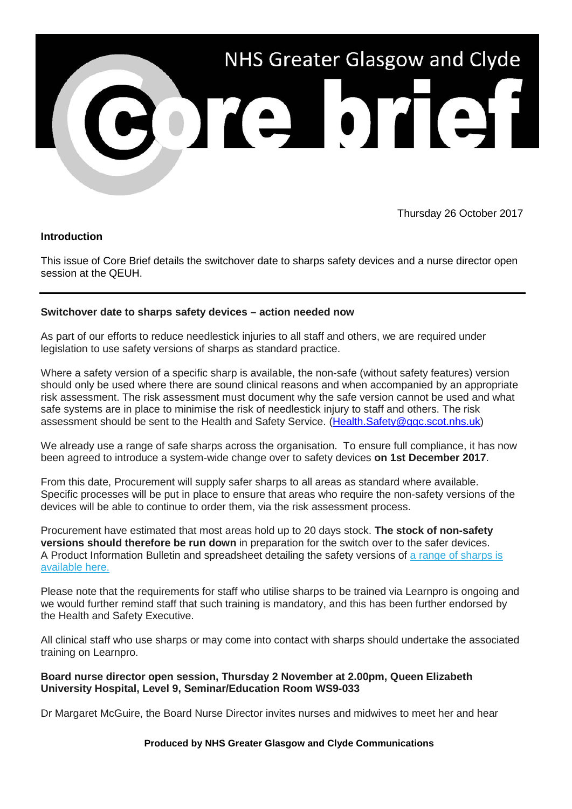

Thursday 26 October 2017

## **Introduction**

This issue of Core Brief details the switchover date to sharps safety devices and a nurse director open session at the QEUH.

## **Switchover date to sharps safety devices – action needed now**

As part of our efforts to reduce needlestick injuries to all staff and others, we are required under legislation to use safety versions of sharps as standard practice.

Where a safety version of a specific sharp is available, the non-safe (without safety features) version should only be used where there are sound clinical reasons and when accompanied by an appropriate risk assessment. The risk assessment must document why the safe version cannot be used and what safe systems are in place to minimise the risk of needlestick injury to staff and others. The risk assessment should be sent to the Health and Safety Service. [\(Health.Safety@ggc.scot.nhs.uk\)](mailto:Health.Safety@ggc.scot.nhs.uk)

We already use a range of safe sharps across the organisation. To ensure full compliance, it has now been agreed to introduce a system-wide change over to safety devices **on 1st December 2017**.

From this date, Procurement will supply safer sharps to all areas as standard where available. Specific processes will be put in place to ensure that areas who require the non-safety versions of the devices will be able to continue to order them, via the risk assessment process.

Procurement have estimated that most areas hold up to 20 days stock. **The stock of non-safety versions should therefore be run down** in preparation for the switch over to the safer devices. A Product Information Bulletin and spreadsheet detailing the safety versions of [a range of sharps is](https://nhsggc.us12.list-manage.com/track/click?u=0f385b5aea37eaf0213bd19fb&id=9da6dd8e54&e=5af5e1832c)  [available here.](https://nhsggc.us12.list-manage.com/track/click?u=0f385b5aea37eaf0213bd19fb&id=9da6dd8e54&e=5af5e1832c)

Please note that the requirements for staff who utilise sharps to be trained via Learnpro is ongoing and we would further remind staff that such training is mandatory, and this has been further endorsed by the Health and Safety Executive.

All clinical staff who use sharps or may come into contact with sharps should undertake the associated training on Learnpro.

## **Board nurse director open session, Thursday 2 November at 2.00pm, Queen Elizabeth University Hospital, Level 9, Seminar/Education Room WS9-033**

Dr Margaret McGuire, the Board Nurse Director invites nurses and midwives to meet her and hear

## **Produced by NHS Greater Glasgow and Clyde Communications**